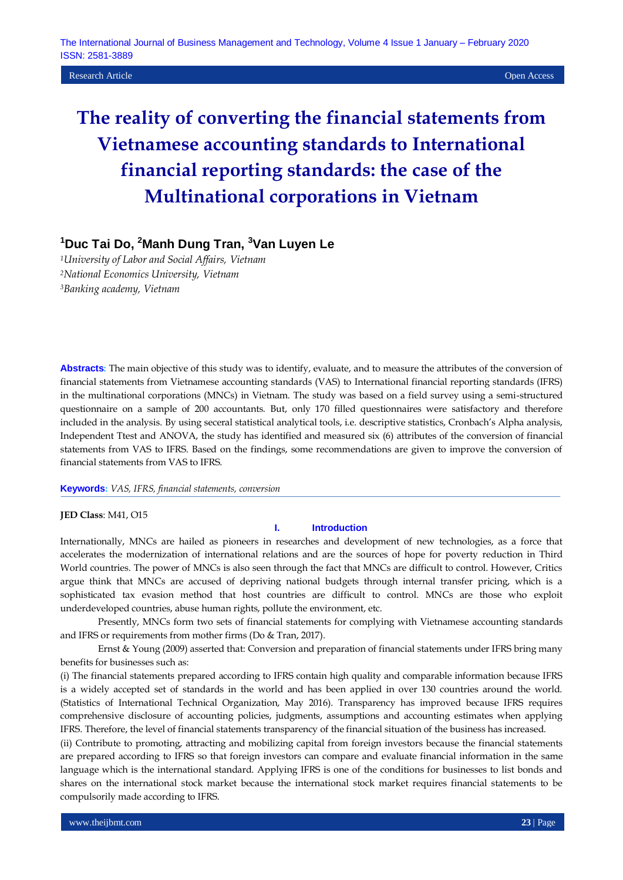**Research Article Open Access Open Access Open Access Open Access Open Access Open Access Open Access Open Access** 

# **The reality of converting the financial statements from Vietnamese accounting standards to International financial reporting standards: the case of the Multinational corporations in Vietnam**

## **<sup>1</sup>Duc Tai Do, <sup>2</sup>Manh Dung Tran, <sup>3</sup>Van Luyen Le**

*<sup>1</sup>University of Labor and Social Affairs, Vietnam <sup>2</sup>National Economics University, Vietnam <sup>3</sup>Banking academy, Vietnam*

**Abstracts:** The main objective of this study was to identify, evaluate, and to measure the attributes of the conversion of financial statements from Vietnamese accounting standards (VAS) to International financial reporting standards (IFRS) in the multinational corporations (MNCs) in Vietnam. The study was based on a field survey using a semi-structured questionnaire on a sample of 200 accountants. But, only 170 filled questionnaires were satisfactory and therefore included in the analysis. By using seceral statistical analytical tools, i.e. descriptive statistics, Cronbach's Alpha analysis, Independent Ttest and ANOVA, the study has identified and measured six (6) attributes of the conversion of financial statements from VAS to IFRS. Based on the findings, some recommendations are given to improve the conversion of financial statements from VAS to IFRS.

#### **Keywords:** *VAS, IFRS, financial statements, conversion*

**JED Class**: M41, O15

#### **I. Introduction**

Internationally, MNCs are hailed as pioneers in researches and development of new technologies, as a force that accelerates the modernization of international relations and are the sources of hope for poverty reduction in Third World countries. The power of MNCs is also seen through the fact that MNCs are difficult to control. However, Critics argue think that MNCs are accused of depriving national budgets through internal transfer pricing, which is a sophisticated tax evasion method that host countries are difficult to control. MNCs are those who exploit underdeveloped countries, abuse human rights, pollute the environment, etc.

Presently, MNCs form two sets of financial statements for complying with Vietnamese accounting standards and IFRS or requirements from mother firms (Do & Tran, 2017).

Ernst & Young (2009) asserted that: Conversion and preparation of financial statements under IFRS bring many benefits for businesses such as:

(i) The financial statements prepared according to IFRS contain high quality and comparable information because IFRS is a widely accepted set of standards in the world and has been applied in over 130 countries around the world. (Statistics of International Technical Organization, May 2016). Transparency has improved because IFRS requires comprehensive disclosure of accounting policies, judgments, assumptions and accounting estimates when applying IFRS. Therefore, the level of financial statements transparency of the financial situation of the business has increased.

(ii) Contribute to promoting, attracting and mobilizing capital from foreign investors because the financial statements are prepared according to IFRS so that foreign investors can compare and evaluate financial information in the same language which is the international standard. Applying IFRS is one of the conditions for businesses to list bonds and shares on the international stock market because the international stock market requires financial statements to be compulsorily made according to IFRS.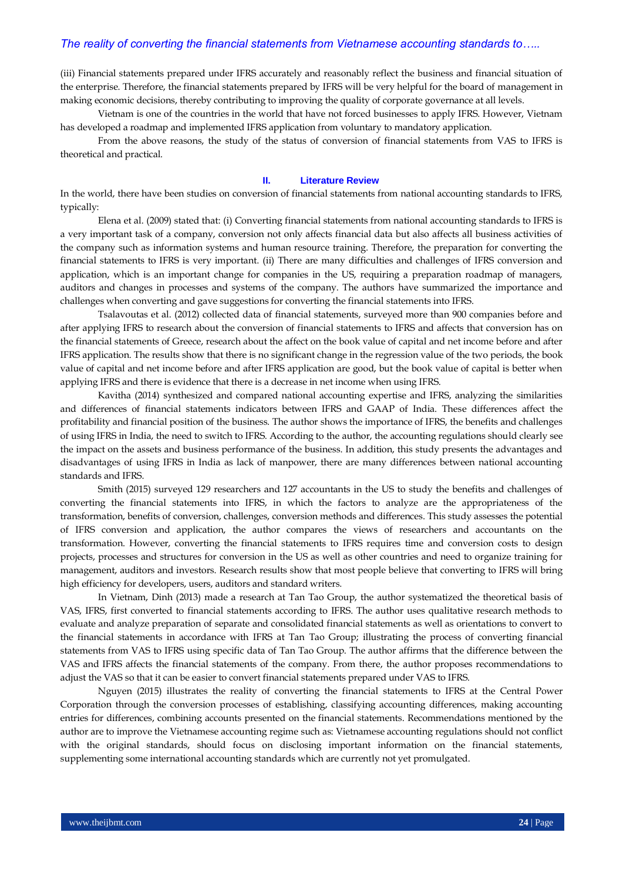(iii) Financial statements prepared under IFRS accurately and reasonably reflect the business and financial situation of the enterprise. Therefore, the financial statements prepared by IFRS will be very helpful for the board of management in making economic decisions, thereby contributing to improving the quality of corporate governance at all levels.

Vietnam is one of the countries in the world that have not forced businesses to apply IFRS. However, Vietnam has developed a roadmap and implemented IFRS application from voluntary to mandatory application.

From the above reasons, the study of the status of conversion of financial statements from VAS to IFRS is theoretical and practical.

#### **II. Literature Review**

In the world, there have been studies on conversion of financial statements from national accounting standards to IFRS, typically:

Elena et al. (2009) stated that: (i) Converting financial statements from national accounting standards to IFRS is a very important task of a company, conversion not only affects financial data but also affects all business activities of the company such as information systems and human resource training. Therefore, the preparation for converting the financial statements to IFRS is very important. (ii) There are many difficulties and challenges of IFRS conversion and application, which is an important change for companies in the US, requiring a preparation roadmap of managers, auditors and changes in processes and systems of the company. The authors have summarized the importance and challenges when converting and gave suggestions for converting the financial statements into IFRS.

Tsalavoutas et al. (2012) collected data of financial statements, surveyed more than 900 companies before and after applying IFRS to research about the conversion of financial statements to IFRS and affects that conversion has on the financial statements of Greece, research about the affect on the book value of capital and net income before and after IFRS application. The results show that there is no significant change in the regression value of the two periods, the book value of capital and net income before and after IFRS application are good, but the book value of capital is better when applying IFRS and there is evidence that there is a decrease in net income when using IFRS.

Kavitha (2014) synthesized and compared national accounting expertise and IFRS, analyzing the similarities and differences of financial statements indicators between IFRS and GAAP of India. These differences affect the profitability and financial position of the business. The author shows the importance of IFRS, the benefits and challenges of using IFRS in India, the need to switch to IFRS. According to the author, the accounting regulations should clearly see the impact on the assets and business performance of the business. In addition, this study presents the advantages and disadvantages of using IFRS in India as lack of manpower, there are many differences between national accounting standards and IFRS.

Smith (2015) surveyed 129 researchers and 127 accountants in the US to study the benefits and challenges of converting the financial statements into IFRS, in which the factors to analyze are the appropriateness of the transformation, benefits of conversion, challenges, conversion methods and differences. This study assesses the potential of IFRS conversion and application, the author compares the views of researchers and accountants on the transformation. However, converting the financial statements to IFRS requires time and conversion costs to design projects, processes and structures for conversion in the US as well as other countries and need to organize training for management, auditors and investors. Research results show that most people believe that converting to IFRS will bring high efficiency for developers, users, auditors and standard writers.

In Vietnam, Dinh (2013) made a research at Tan Tao Group, the author systematized the theoretical basis of VAS, IFRS, first converted to financial statements according to IFRS. The author uses qualitative research methods to evaluate and analyze preparation of separate and consolidated financial statements as well as orientations to convert to the financial statements in accordance with IFRS at Tan Tao Group; illustrating the process of converting financial statements from VAS to IFRS using specific data of Tan Tao Group. The author affirms that the difference between the VAS and IFRS affects the financial statements of the company. From there, the author proposes recommendations to adjust the VAS so that it can be easier to convert financial statements prepared under VAS to IFRS.

Nguyen (2015) illustrates the reality of converting the financial statements to IFRS at the Central Power Corporation through the conversion processes of establishing, classifying accounting differences, making accounting entries for differences, combining accounts presented on the financial statements. Recommendations mentioned by the author are to improve the Vietnamese accounting regime such as: Vietnamese accounting regulations should not conflict with the original standards, should focus on disclosing important information on the financial statements, supplementing some international accounting standards which are currently not yet promulgated.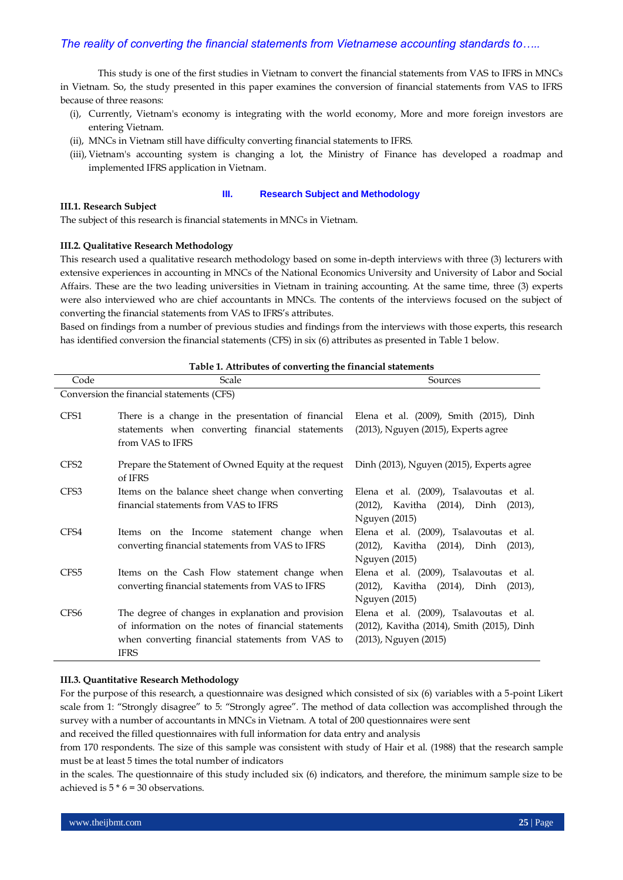This study is one of the first studies in Vietnam to convert the financial statements from VAS to IFRS in MNCs in Vietnam. So, the study presented in this paper examines the conversion of financial statements from VAS to IFRS because of three reasons:

- (i), Currently, Vietnam's economy is integrating with the world economy, More and more foreign investors are entering Vietnam.
- (ii), MNCs in Vietnam still have difficulty converting financial statements to IFRS.
- (iii), Vietnam's accounting system is changing a lot, the Ministry of Finance has developed a roadmap and implemented IFRS application in Vietnam.

#### **III.1. Research Subject**

#### **III. Research Subject and Methodology**

The subject of this research is financial statements in MNCs in Vietnam.

#### **III.2. Qualitative Research Methodology**

This research used a qualitative research methodology based on some in-depth interviews with three (3) lecturers with extensive experiences in accounting in MNCs of the National Economics University and University of Labor and Social Affairs. These are the two leading universities in Vietnam in training accounting. At the same time, three (3) experts were also interviewed who are chief accountants in MNCs. The contents of the interviews focused on the subject of converting the financial statements from VAS to IFRS's attributes.

Based on findings from a number of previous studies and findings from the interviews with those experts, this research has identified conversion the financial statements (CFS) in six (6) attributes as presented in Table 1 below.

| Code                                      | Scale                                                                                                                                                                        | Sources                                                                                                        |  |  |  |  |  |  |
|-------------------------------------------|------------------------------------------------------------------------------------------------------------------------------------------------------------------------------|----------------------------------------------------------------------------------------------------------------|--|--|--|--|--|--|
| Conversion the financial statements (CFS) |                                                                                                                                                                              |                                                                                                                |  |  |  |  |  |  |
| CFS1                                      | There is a change in the presentation of financial<br>statements when converting financial statements<br>from VAS to IFRS                                                    | Elena et al. (2009), Smith (2015), Dinh<br>(2013), Nguyen (2015), Experts agree                                |  |  |  |  |  |  |
| CFS <sub>2</sub>                          | Prepare the Statement of Owned Equity at the request Dinh (2013), Nguyen (2015), Experts agree<br>of IFRS                                                                    |                                                                                                                |  |  |  |  |  |  |
| CFS3                                      | Items on the balance sheet change when converting<br>financial statements from VAS to IFRS                                                                                   | Elena et al. (2009), Tsalavoutas et al.<br>(2012), Kavitha (2014), Dinh<br>$(2013)$ ,<br>Nguyen (2015)         |  |  |  |  |  |  |
| CFS4                                      | Items on the Income statement change when<br>converting financial statements from VAS to IFRS                                                                                | Elena et al. (2009), Tsalavoutas et al.<br>(2012), Kavitha (2014), Dinh (2013),<br>Nguyen (2015)               |  |  |  |  |  |  |
| CFS <sub>5</sub>                          | Items on the Cash Flow statement change when<br>converting financial statements from VAS to IFRS                                                                             | Elena et al. (2009), Tsalavoutas et al.<br>(2012), Kavitha (2014), Dinh<br>$(2013)$ ,<br><b>Nguyen</b> (2015)  |  |  |  |  |  |  |
| CFS <sub>6</sub>                          | The degree of changes in explanation and provision<br>of information on the notes of financial statements<br>when converting financial statements from VAS to<br><b>IFRS</b> | Elena et al. (2009), Tsalavoutas et al.<br>(2012), Kavitha (2014), Smith (2015), Dinh<br>(2013), Nguyen (2015) |  |  |  |  |  |  |

#### **Table 1. Attributes of converting the financial statements**

#### **III.3. Quantitative Research Methodology**

For the purpose of this research, a questionnaire was designed which consisted of six (6) variables with a 5-point Likert scale from 1: "Strongly disagree" to 5: "Strongly agree". The method of data collection was accomplished through the survey with a number of accountants in MNCs in Vietnam. A total of 200 questionnaires were sent

and received the filled questionnaires with full information for data entry and analysis

from 170 respondents. The size of this sample was consistent with study of Hair et al. (1988) that the research sample must be at least 5 times the total number of indicators

in the scales. The questionnaire of this study included six (6) indicators, and therefore, the minimum sample size to be achieved is  $5 * 6 = 30$  observations.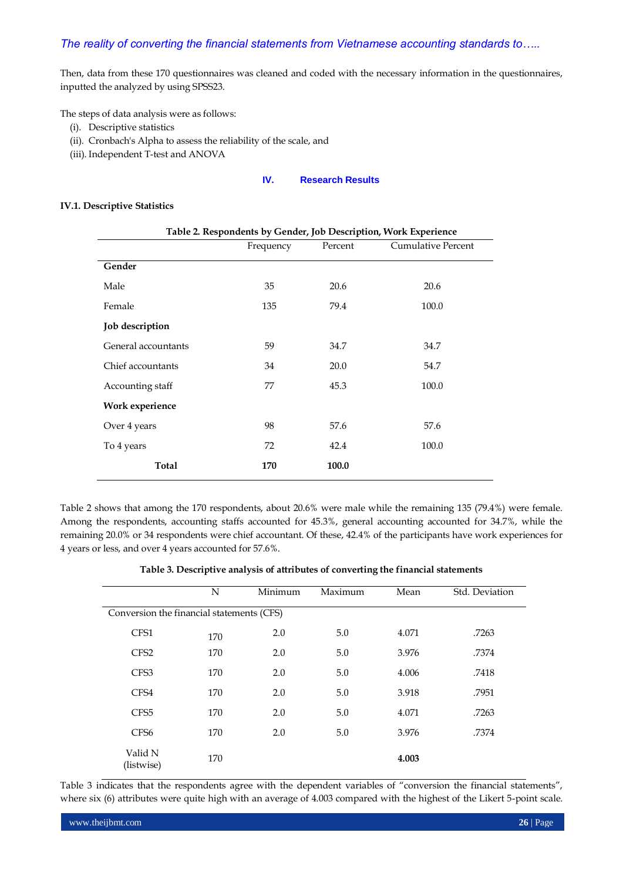Then, data from these 170 questionnaires was cleaned and coded with the necessary information in the questionnaires, inputted the analyzed by using SPSS23.

The steps of data analysis were as follows:

- (i). Descriptive statistics
- (ii). Cronbach's Alpha to assess the reliability of the scale, and
- (iii). Independent T-test and ANOVA

### **IV. Research Results**

#### **IV.1. Descriptive Statistics**

| Table 2. Respondents by Gender, Job Description, Work Experience |           |         |                           |  |  |
|------------------------------------------------------------------|-----------|---------|---------------------------|--|--|
|                                                                  | Frequency | Percent | <b>Cumulative Percent</b> |  |  |
| Gender                                                           |           |         |                           |  |  |
| Male                                                             | 35        | 20.6    | 20.6                      |  |  |
| Female                                                           | 135       | 79.4    | 100.0                     |  |  |
| Job description                                                  |           |         |                           |  |  |
| General accountants                                              | 59        | 34.7    | 34.7                      |  |  |
| Chief accountants                                                | 34        | 20.0    | 54.7                      |  |  |
| Accounting staff                                                 | 77        | 45.3    | 100.0                     |  |  |
| Work experience                                                  |           |         |                           |  |  |
| Over 4 years                                                     | 98        | 57.6    | 57.6                      |  |  |
| To 4 years                                                       | 72        | 42.4    | 100.0                     |  |  |
| Total                                                            | 170       | 100.0   |                           |  |  |

Table 2 shows that among the 170 respondents, about 20.6% were male while the remaining 135 (79.4%) were female. Among the respondents, accounting staffs accounted for 45.3%, general accounting accounted for 34.7%, while the remaining 20.0% or 34 respondents were chief accountant. Of these, 42.4% of the participants have work experiences for 4 years or less, and over 4 years accounted for 57.6%.

**Table 3. Descriptive analysis of attributes of converting the financial statements**

|                                           | N   | Minimum | Maximum | Mean  | Std. Deviation |  |  |
|-------------------------------------------|-----|---------|---------|-------|----------------|--|--|
| Conversion the financial statements (CFS) |     |         |         |       |                |  |  |
| CFS1                                      | 170 | 2.0     | 5.0     | 4.071 | .7263          |  |  |
| CFS <sub>2</sub>                          | 170 | 2.0     | 5.0     | 3.976 | .7374          |  |  |
| CFS3                                      | 170 | 2.0     | 5.0     | 4.006 | .7418          |  |  |
| CFS4                                      | 170 | 2.0     | 5.0     | 3.918 | .7951          |  |  |
| CFS <sub>5</sub>                          | 170 | 2.0     | 5.0     | 4.071 | .7263          |  |  |
| CFS <sub>6</sub>                          | 170 | 2.0     | 5.0     | 3.976 | .7374          |  |  |
| Valid N<br>(listwise)                     | 170 |         |         | 4.003 |                |  |  |

Table 3 indicates that the respondents agree with the dependent variables of "conversion the financial statements", where six (6) attributes were quite high with an average of 4.003 compared with the highest of the Likert 5-point scale.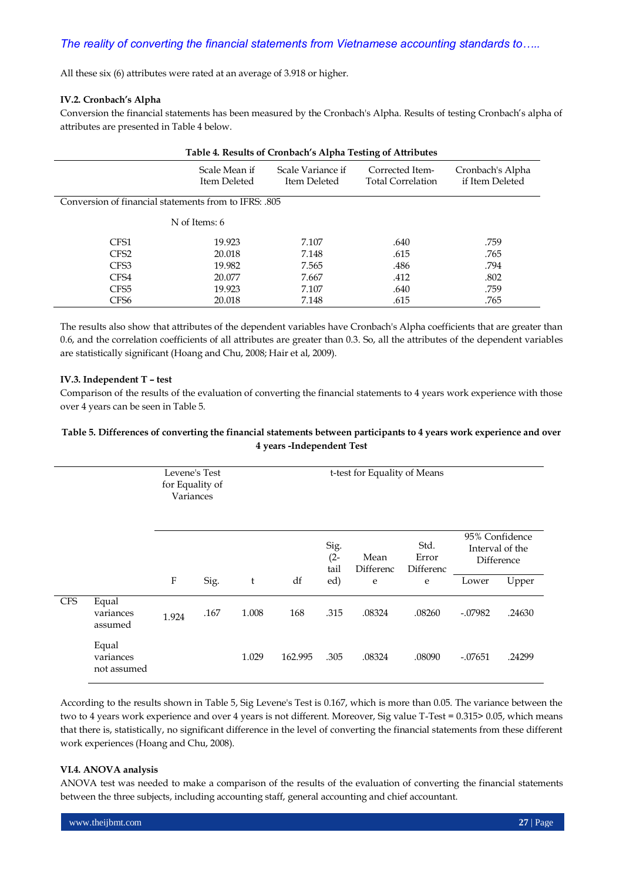All these six (6) attributes were rated at an average of 3.918 or higher.

#### **IV.2. Cronbach's Alpha**

Conversion the financial statements has been measured by the Cronbach's Alpha. Results of testing Cronbach's alpha of attributes are presented in Table 4 below.

| Table 4. Results of Cronbach's Alpha Testing of Attributes |                               |                                   |                                             |                                     |  |  |  |  |
|------------------------------------------------------------|-------------------------------|-----------------------------------|---------------------------------------------|-------------------------------------|--|--|--|--|
|                                                            | Scale Mean if<br>Item Deleted | Scale Variance if<br>Item Deleted | Corrected Item-<br><b>Total Correlation</b> | Cronbach's Alpha<br>if Item Deleted |  |  |  |  |
| Conversion of financial statements from to IFRS: .805      |                               |                                   |                                             |                                     |  |  |  |  |
| N of Items: 6                                              |                               |                                   |                                             |                                     |  |  |  |  |
| CFS1                                                       | 19.923                        | 7.107                             | .640                                        | .759                                |  |  |  |  |
| CFS <sub>2</sub>                                           | 20.018                        | 7.148                             | .615                                        | .765                                |  |  |  |  |
| CFS3                                                       | 19.982                        | 7.565                             | .486                                        | .794                                |  |  |  |  |
| CFS4                                                       | 20.077                        | 7.667                             | .412                                        | .802                                |  |  |  |  |
| CFS <sub>5</sub>                                           | 19.923                        | 7.107                             | .640                                        | .759                                |  |  |  |  |
| CFS6                                                       | 20.018                        | 7.148                             | .615                                        | .765                                |  |  |  |  |

The results also show that attributes of the dependent variables have Cronbach's Alpha coefficients that are greater than 0.6, and the correlation coefficients of all attributes are greater than 0.3. So, all the attributes of the dependent variables are statistically significant (Hoang and Chu, 2008; Hair et al, 2009).

#### **IV.3. Independent T – test**

Comparison of the results of the evaluation of converting the financial statements to 4 years work experience with those over 4 years can be seen in Table 5.

#### **Table 5. Differences of converting the financial statements between participants to 4 years work experience and over 4 years -Independent Test**

|            |                                   | Levene's Test<br>for Equality of<br>Variances |      | t-test for Equality of Means |         |                        |                   |                            |                |                               |
|------------|-----------------------------------|-----------------------------------------------|------|------------------------------|---------|------------------------|-------------------|----------------------------|----------------|-------------------------------|
|            |                                   |                                               |      |                              |         | Sig.<br>$(2 -$<br>tail | Mean<br>Differenc | Std.<br>Error<br>Differenc | 95% Confidence | Interval of the<br>Difference |
|            |                                   | $\boldsymbol{\mathrm{F}}$                     | Sig. | t                            | df      | ed)                    | e                 | e                          | Lower          | Upper                         |
| <b>CFS</b> | Equal<br>variances<br>assumed     | 1.924                                         | .167 | 1.008                        | 168     | .315                   | .08324            | .08260                     | $-.07982$      | .24630                        |
|            | Equal<br>variances<br>not assumed |                                               |      | 1.029                        | 162.995 | .305                   | .08324            | .08090                     | $-.07651$      | .24299                        |

According to the results shown in Table 5, Sig Levene's Test is 0.167, which is more than 0.05. The variance between the two to 4 years work experience and over 4 years is not different. Moreover, Sig value T-Test = 0.315> 0.05, which means that there is, statistically, no significant difference in the level of converting the financial statements from these different work experiences (Hoang and Chu, 2008).

#### **VI.4. ANOVA analysis**

ANOVA test was needed to make a comparison of the results of the evaluation of converting the financial statements between the three subjects, including accounting staff, general accounting and chief accountant.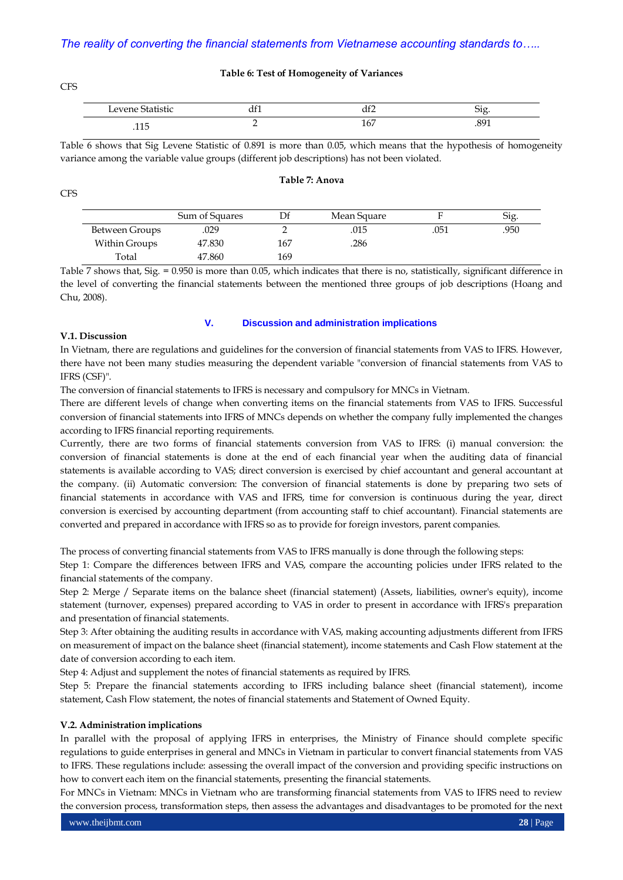#### **Table 6: Test of Homogeneity of Variances**

| Levene Statistic | ull | ່ເຕ<br>$\mathbf{u}$ |        |
|------------------|-----|---------------------|--------|
| - -              | -   | $\sim$ $\sim$       | 201    |
|                  | —   | 167                 | $\sim$ |

Table 6 shows that Sig Levene Statistic of 0.891 is more than 0.05, which means that the hypothesis of homogeneity variance among the variable value groups (different job descriptions) has not been violated.

**Table 7: Anova**

|                | Sum of Squares |     | Mean Square |      | Sig. |
|----------------|----------------|-----|-------------|------|------|
| Between Groups | .029           |     | .015        | .051 | .950 |
| Within Groups  | 47.830         | 167 | .286        |      |      |
| Total          | 47.860         | 169 |             |      |      |

Table  $\overline{7}$  shows that, Sig. = 0.950 is more than 0.05, which indicates that there is no, statistically, significant difference in the level of converting the financial statements between the mentioned three groups of job descriptions (Hoang and Chu, 2008).

#### **V.1. Discussion**

#### **V. Discussion and administration implications**

In Vietnam, there are regulations and guidelines for the conversion of financial statements from VAS to IFRS. However, there have not been many studies measuring the dependent variable "conversion of financial statements from VAS to IFRS (CSF)".

The conversion of financial statements to IFRS is necessary and compulsory for MNCs in Vietnam.

There are different levels of change when converting items on the financial statements from VAS to IFRS. Successful conversion of financial statements into IFRS of MNCs depends on whether the company fully implemented the changes according to IFRS financial reporting requirements.

Currently, there are two forms of financial statements conversion from VAS to IFRS: (i) manual conversion: the conversion of financial statements is done at the end of each financial year when the auditing data of financial statements is available according to VAS; direct conversion is exercised by chief accountant and general accountant at the company. (ii) Automatic conversion: The conversion of financial statements is done by preparing two sets of financial statements in accordance with VAS and IFRS, time for conversion is continuous during the year, direct conversion is exercised by accounting department (from accounting staff to chief accountant). Financial statements are converted and prepared in accordance with IFRS so as to provide for foreign investors, parent companies.

The process of converting financial statements from VAS to IFRS manually is done through the following steps:

Step 1: Compare the differences between IFRS and VAS, compare the accounting policies under IFRS related to the financial statements of the company.

Step 2: Merge / Separate items on the balance sheet (financial statement) (Assets, liabilities, owner's equity), income statement (turnover, expenses) prepared according to VAS in order to present in accordance with IFRS's preparation and presentation of financial statements.

Step 3: After obtaining the auditing results in accordance with VAS, making accounting adjustments different from IFRS on measurement of impact on the balance sheet (financial statement), income statements and Cash Flow statement at the date of conversion according to each item.

Step 4: Adjust and supplement the notes of financial statements as required by IFRS.

Step 5: Prepare the financial statements according to IFRS including balance sheet (financial statement), income statement, Cash Flow statement, the notes of financial statements and Statement of Owned Equity.

#### **V.2. Administration implications**

In parallel with the proposal of applying IFRS in enterprises, the Ministry of Finance should complete specific regulations to guide enterprises in general and MNCs in Vietnam in particular to convert financial statements from VAS to IFRS. These regulations include: assessing the overall impact of the conversion and providing specific instructions on how to convert each item on the financial statements, presenting the financial statements.

For MNCs in Vietnam: MNCs in Vietnam who are transforming financial statements from VAS to IFRS need to review the conversion process, transformation steps, then assess the advantages and disadvantages to be promoted for the next

**CFS** 

CFS